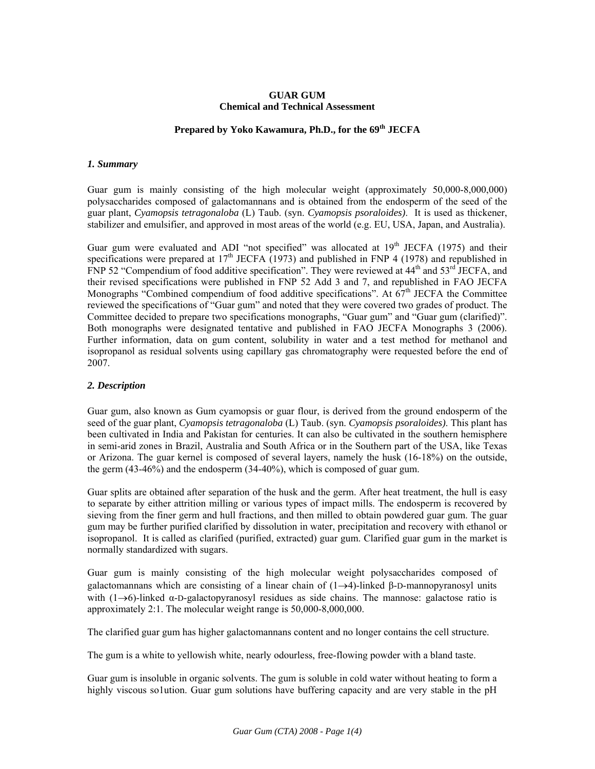# **GUAR GUM Chemical and Technical Assessment**

# **Prepared by Yoko Kawamura, Ph.D., for the 69th JECFA**

#### *1. Summary*

Guar gum is mainly consisting of the high molecular weight (approximately 50,000-8,000,000) polysaccharides composed of galactomannans and is obtained from the endosperm of the seed of the guar plant, *Cyamopsis tetragonaloba* (L) Taub. (syn. *Cyamopsis psoraloides)*. It is used as thickener, stabilizer and emulsifier, and approved in most areas of the world (e.g. EU, USA, Japan, and Australia).

Guar gum were evaluated and ADI "not specified" was allocated at  $19<sup>th</sup>$  JECFA (1975) and their specifications were prepared at  $17<sup>th</sup>$  JECFA (1973) and published in FNP 4 (1978) and republished in FNP 52 "Compendium of food additive specification". They were reviewed at  $44<sup>th</sup>$  and  $53<sup>rd</sup>$  JECFA, and their revised specifications were published in FNP 52 Add 3 and 7, and republished in FAO JECFA Monographs "Combined compendium of food additive specifications". At  $67<sup>th</sup>$  JECFA the Committee reviewed the specifications of "Guar gum" and noted that they were covered two grades of product. The Committee decided to prepare two specifications monographs, "Guar gum" and "Guar gum (clarified)". Both monographs were designated tentative and published in FAO JECFA Monographs 3 (2006). Further information, data on gum content, solubility in water and a test method for methanol and isopropanol as residual solvents using capillary gas chromatography were requested before the end of 2007.

## *2. Description*

Guar gum, also known as Gum cyamopsis or guar flour, is derived from the ground endosperm of the seed of the guar plant, *Cyamopsis tetragonaloba* (L) Taub. (syn. *Cyamopsis psoraloides)*. This plant has been cultivated in India and Pakistan for centuries. It can also be cultivated in the southern hemisphere in semi-arid zones in Brazil, Australia and South Africa or in the Southern part of the USA, like Texas or Arizona. The guar kernel is composed of several layers, namely the husk (16-18%) on the outside, the germ (43-46%) and the endosperm (34-40%), which is composed of guar gum.

Guar splits are obtained after separation of the husk and the germ. After heat treatment, the hull is easy to separate by either attrition milling or various types of impact mills. The endosperm is recovered by sieving from the finer germ and hull fractions, and then milled to obtain powdered guar gum. The guar gum may be further purified clarified by dissolution in water, precipitation and recovery with ethanol or isopropanol. It is called as clarified (purified, extracted) guar gum. Clarified guar gum in the market is normally standardized with sugars.

Guar gum is mainly consisting of the high molecular weight polysaccharides composed of galactomannans which are consisting of a linear chain of  $(1\rightarrow 4)$ -linked β-D-mannopyranosyl units with  $(1\rightarrow 6)$ -linked  $\alpha$ -D-galactopyranosyl residues as side chains. The mannose: galactose ratio is approximately 2:1. The molecular weight range is 50,000-8,000,000.

The clarified guar gum has higher galactomannans content and no longer contains the cell structure.

The gum is a white to yellowish white, nearly odourless, free-flowing powder with a bland taste.

Guar gum is insoluble in organic solvents. The gum is soluble in cold water without heating to form a highly viscous solution. Guar gum solutions have buffering capacity and are very stable in the pH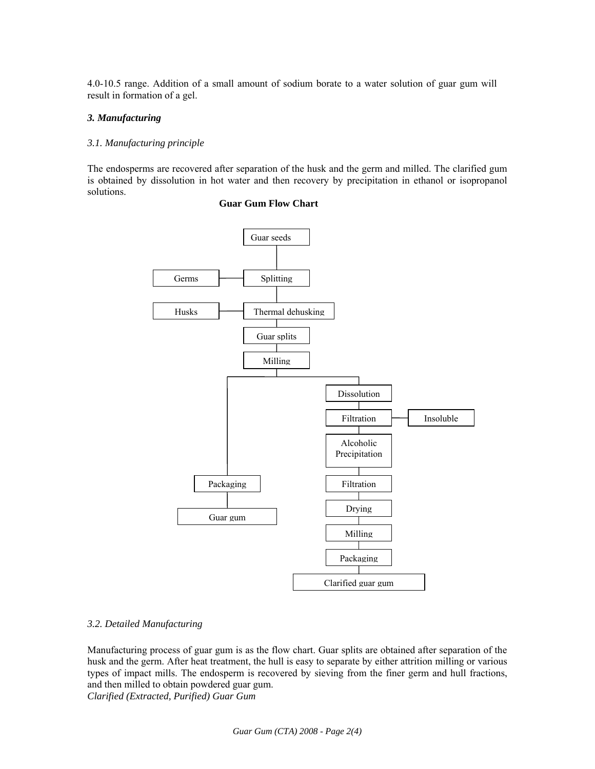4.0-10.5 range. Addition of a small amount of sodium borate to a water solution of guar gum will result in formation of a gel.

# *3. Manufacturing*

#### *3.1. Manufacturing principle*

The endosperms are recovered after separation of the husk and the germ and milled. The clarified gum is obtained by dissolution in hot water and then recovery by precipitation in ethanol or isopropanol solutions.

# **Guar Gum Flow Chart**



## *3.2. Detailed Manufacturing*

Manufacturing process of guar gum is as the flow chart. Guar splits are obtained after separation of the husk and the germ. After heat treatment, the hull is easy to separate by either attrition milling or various types of impact mills. The endosperm is recovered by sieving from the finer germ and hull fractions, and then milled to obtain powdered guar gum. *Clarified (Extracted, Purified) Guar Gum*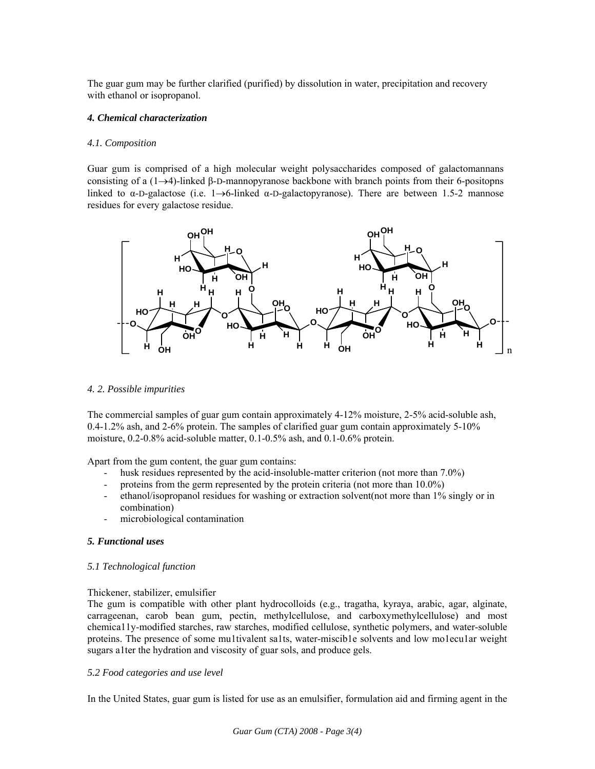The guar gum may be further clarified (purified) by dissolution in water, precipitation and recovery with ethanol or isopropanol.

## *4. Chemical characterization*

#### *4.1. Composition*

Guar gum is comprised of a high molecular weight polysaccharides composed of galactomannans consisting of a  $(1\rightarrow 4)$ -linked β-D-mannopyranose backbone with branch points from their 6-positopns linked to  $\alpha$ -D-galactose (i.e. 1→6-linked  $\alpha$ -D-galactopyranose). There are between 1.5-2 mannose residues for every galactose residue.



#### *4. 2. Possible impurities*

The commercial samples of guar gum contain approximately 4-12% moisture, 2-5% acid-soluble ash, 0.4-1.2% ash, and 2-6% protein. The samples of clarified guar gum contain approximately 5-10% moisture, 0.2-0.8% acid-soluble matter, 0.1-0.5% ash, and 0.1-0.6% protein.

Apart from the gum content, the guar gum contains:

- husk residues represented by the acid-insoluble-matter criterion (not more than 7.0%)
- proteins from the germ represented by the protein criteria (not more than 10.0%)
- ethanol/isopropanol residues for washing or extraction solvent(not more than 1% singly or in combination)
- microbiological contamination

## *5. Functional uses*

## *5.1 Technological function*

## Thickener, stabilizer, emulsifier

The gum is compatible with other plant hydrocolloids (e.g., tragatha, kyraya, arabic, agar, alginate, carrageenan, carob bean gum, pectin, methylcellulose, and carboxymethylcellulose) and most chemica11y-modified starches, raw starches, modified cellulose, synthetic polymers, and water-soluble proteins. The presence of some mu1tivalent sa1ts, water-miscib1e solvents and low mo1ecu1ar weight sugars a1ter the hydration and viscosity of guar sols, and produce gels.

## *5.2 Food categories and use level*

In the United States, guar gum is listed for use as an emulsifier, formulation aid and firming agent in the